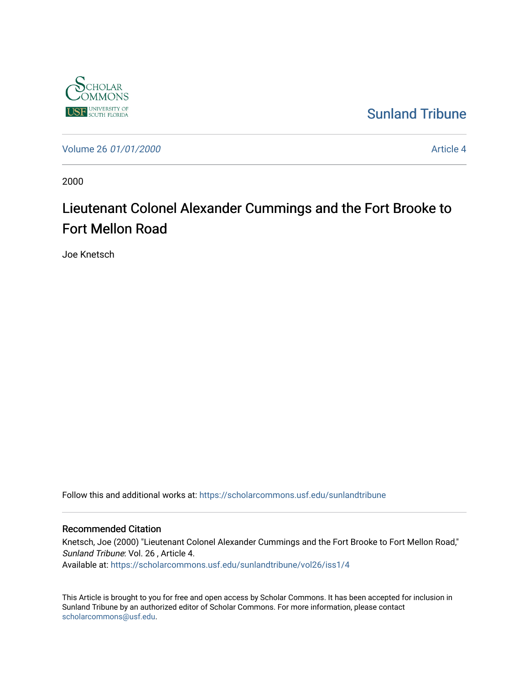

### [Sunland Tribune](https://scholarcommons.usf.edu/sunlandtribune)

[Volume 26](https://scholarcommons.usf.edu/sunlandtribune/vol26) 01/01/2000 **Article 4** Article 4

2000

# Lieutenant Colonel Alexander Cummings and the Fort Brooke to Fort Mellon Road

Joe Knetsch

Follow this and additional works at: [https://scholarcommons.usf.edu/sunlandtribune](https://scholarcommons.usf.edu/sunlandtribune?utm_source=scholarcommons.usf.edu%2Fsunlandtribune%2Fvol26%2Fiss1%2F4&utm_medium=PDF&utm_campaign=PDFCoverPages) 

### Recommended Citation

Knetsch, Joe (2000) "Lieutenant Colonel Alexander Cummings and the Fort Brooke to Fort Mellon Road," Sunland Tribune: Vol. 26 , Article 4. Available at: [https://scholarcommons.usf.edu/sunlandtribune/vol26/iss1/4](https://scholarcommons.usf.edu/sunlandtribune/vol26/iss1/4?utm_source=scholarcommons.usf.edu%2Fsunlandtribune%2Fvol26%2Fiss1%2F4&utm_medium=PDF&utm_campaign=PDFCoverPages) 

This Article is brought to you for free and open access by Scholar Commons. It has been accepted for inclusion in Sunland Tribune by an authorized editor of Scholar Commons. For more information, please contact [scholarcommons@usf.edu.](mailto:scholarcommons@usf.edu)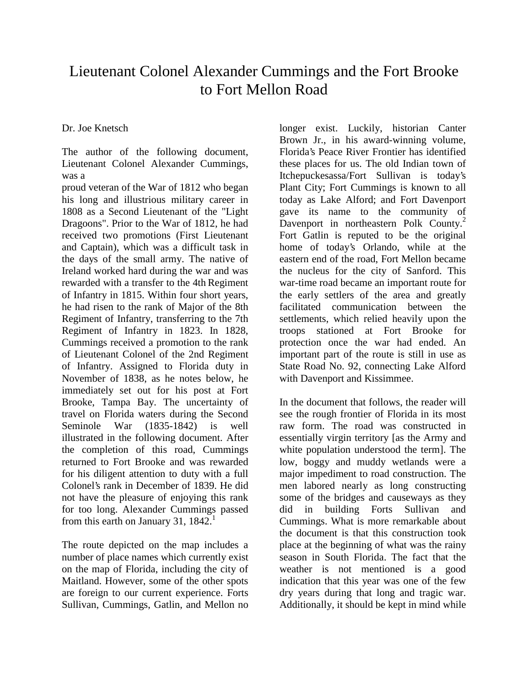## Lieutenant Colonel Alexander Cummings and the Fort Brooke to Fort Mellon Road

Dr. Joe Knetsch

The author of the following document, Lieutenant Colonel Alexander Cummings, was a

proud veteran of the War of 1812 who began his long and illustrious military career in 1808 as a Second Lieutenant of the "Light Dragoons". Prior to the War of 1812, he had received two promotions (First Lieutenant and Captain), which was a difficult task in the days of the small army. The native of Ireland worked hard during the war and was rewarded with a transfer to the 4th Regiment of Infantry in 1815. Within four short years, he had risen to the rank of Major of the 8th Regiment of Infantry, transferring to the 7th Regiment of Infantry in 1823. In 1828, Cummings received a promotion to the rank of Lieutenant Colonel of the 2nd Regiment of Infantry. Assigned to Florida duty in November of 1838, as he notes below, he immediately set out for his post at Fort Brooke, Tampa Bay. The uncertainty of travel on Florida waters during the Second Seminole War (1835-1842) is well illustrated in the following document. After the completion of this road, Cummings returned to Fort Brooke and was rewarded for his diligent attention to duty with a full Colonel's rank in December of 1839. He did not have the pleasure of enjoying this rank for too long. Alexander Cummings passed from this earth on January 31,  $1842<sup>1</sup>$ 

The route depicted on the map includes a number of place names which currently exist on the map of Florida, including the city of Maitland. However, some of the other spots are foreign to our current experience. Forts Sullivan, Cummings, Gatlin, and Mellon no

longer exist. Luckily, historian Canter Brown Jr., in his award-winning volume, Florida's Peace River Frontier has identified these places for us. The old Indian town of Itchepuckesassa/Fort Sullivan is today's Plant City; Fort Cummings is known to all today as Lake Alford; and Fort Davenport gave its name to the community of Davenport in northeastern Polk County.<sup>2</sup> Fort Gatlin is reputed to be the original home of today's Orlando, while at the eastern end of the road, Fort Mellon became the nucleus for the city of Sanford. This war-time road became an important route for the early settlers of the area and greatly facilitated communication between the settlements, which relied heavily upon the troops stationed at Fort Brooke for protection once the war had ended. An important part of the route is still in use as State Road No. 92, connecting Lake Alford with Davenport and Kissimmee.

In the document that follows, the reader will see the rough frontier of Florida in its most raw form. The road was constructed in essentially virgin territory [as the Army and white population understood the term]. The low, boggy and muddy wetlands were a major impediment to road construction. The men labored nearly as long constructing some of the bridges and causeways as they did in building Forts Sullivan and Cummings. What is more remarkable about the document is that this construction took place at the beginning of what was the rainy season in South Florida. The fact that the weather is not mentioned is a good indication that this year was one of the few dry years during that long and tragic war. Additionally, it should be kept in mind while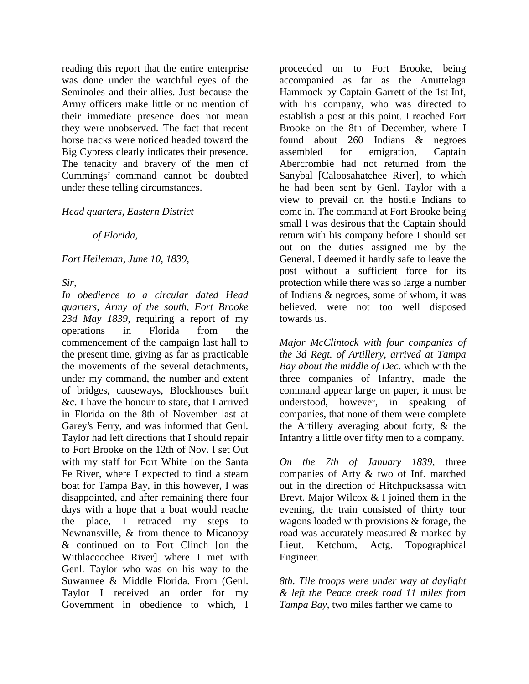reading this report that the entire enterprise was done under the watchful eyes of the Seminoles and their allies. Just because the Army officers make little or no mention of their immediate presence does not mean they were unobserved. The fact that recent horse tracks were noticed headed toward the Big Cypress clearly indicates their presence. The tenacity and bravery of the men of Cummings' command cannot be doubted under these telling circumstances.

### *Head quarters, Eastern District*

*of Florida,* 

*Fort Heileman, June 10, 1839,* 

*Sir,* 

*In obedience to a circular dated Head quarters, Army of the south, Fort Brooke 23d May 1839*, requiring a report of my operations in Florida from the commencement of the campaign last hall to the present time, giving as far as practicable the movements of the several detachments, under my command, the number and extent of bridges, causeways, Blockhouses built &c. I have the honour to state, that I arrived in Florida on the 8th of November last at Garey's Ferry, and was informed that Genl. Taylor had left directions that I should repair to Fort Brooke on the 12th of Nov. I set Out with my staff for Fort White [on the Santa Fe River, where I expected to find a steam boat for Tampa Bay, in this however, I was disappointed, and after remaining there four days with a hope that a boat would reache the place, I retraced my steps to Newnansville, & from thence to Micanopy & continued on to Fort Clinch [on the Withlacoochee River] where I met with Genl. Taylor who was on his way to the Suwannee & Middle Florida. From (Genl. Taylor I received an order for my Government in obedience to which, I

proceeded on to Fort Brooke, being accompanied as far as the Anuttelaga Hammock by Captain Garrett of the 1st Inf, with his company, who was directed to establish a post at this point. I reached Fort Brooke on the 8th of December, where I found about 260 Indians & negroes assembled for emigration, Captain Abercrombie had not returned from the Sanybal [Caloosahatchee River], to which he had been sent by Genl. Taylor with a view to prevail on the hostile Indians to come in. The command at Fort Brooke being small I was desirous that the Captain should return with his company before I should set out on the duties assigned me by the General. I deemed it hardly safe to leave the post without a sufficient force for its protection while there was so large a number of Indians & negroes, some of whom, it was believed, were not too well disposed towards us.

*Major McClintock with four companies of the 3d Regt. of Artillery, arrived at Tampa Bay about the middle of Dec.* which with the three companies of Infantry, made the command appear large on paper, it must be understood, however, in speaking of companies, that none of them were complete the Artillery averaging about forty, & the Infantry a little over fifty men to a company.

*On the 7th of January 1839*, three companies of Arty & two of Inf. marched out in the direction of Hitchpucksassa with Brevt. Major Wilcox & I joined them in the evening, the train consisted of thirty tour wagons loaded with provisions & forage, the road was accurately measured & marked by Lieut. Ketchum, Actg. Topographical Engineer.

*8th. Tile troops were under way at daylight & left the Peace creek road 11 miles from Tampa Bay*, two miles farther we came to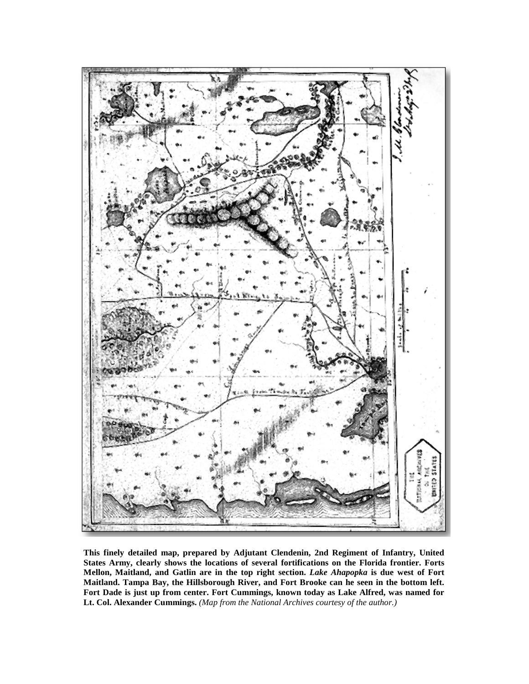

**This finely detailed map, prepared by Adjutant Clendenin, 2nd Regiment of Infantry, United States Army, clearly shows the locations of several fortifications on the Florida frontier. Forts Mellon, Maitland, and Gatlin are in the top right section.** *Lake Ahapopka* **is due west of Fort Maitland. Tampa Bay, the Hillsborough River, and Fort Brooke can he seen in the bottom left. Fort Dade is just up from center. Fort Cummings, known today as Lake Alfred, was named for Lt. Col. Alexander Cummings.** *(Map from the National Archives courtesy of the author.)*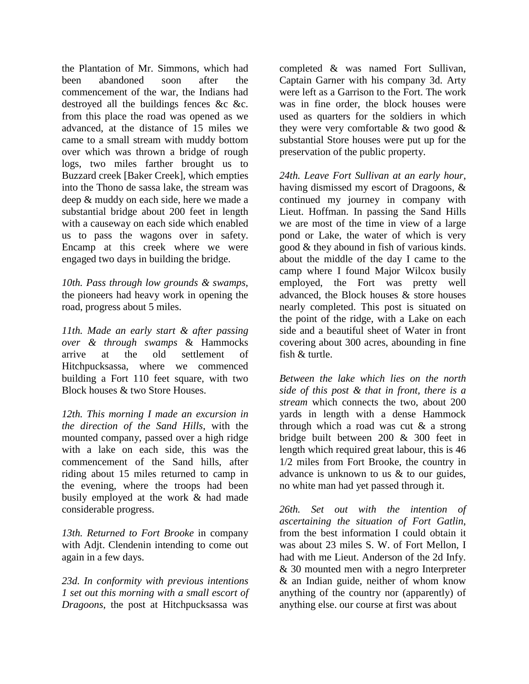the Plantation of Mr. Simmons, which had been abandoned soon after the commencement of the war, the Indians had destroyed all the buildings fences &c &c. from this place the road was opened as we advanced, at the distance of 15 miles we came to a small stream with muddy bottom over which was thrown a bridge of rough logs, two miles farther brought us to Buzzard creek [Baker Creek], which empties into the Thono de sassa lake, the stream was deep & muddy on each side, here we made a substantial bridge about 200 feet in length with a causeway on each side which enabled us to pass the wagons over in safety. Encamp at this creek where we were engaged two days in building the bridge.

*10th. Pass through low grounds & swamps*, the pioneers had heavy work in opening the road, progress about 5 miles.

*11th. Made an early start & after passing over & through swamps* & Hammocks arrive at the old settlement of Hitchpucksassa, where we commenced building a Fort 110 feet square, with two Block houses & two Store Houses.

*12th. This morning I made an excursion in the direction of the Sand Hills*, with the mounted company, passed over a high ridge with a lake on each side, this was the commencement of the Sand hills, after riding about 15 miles returned to camp in the evening, where the troops had been busily employed at the work & had made considerable progress.

*13th. Returned to Fort Brooke* in company with Adjt. Clendenin intending to come out again in a few days.

*23d. In conformity with previous intentions 1 set out this morning with a small escort of Dragoons*, the post at Hitchpucksassa was

completed & was named Fort Sullivan, Captain Garner with his company 3d. Arty were left as a Garrison to the Fort. The work was in fine order, the block houses were used as quarters for the soldiers in which they were very comfortable & two good & substantial Store houses were put up for the preservation of the public property.

*24th. Leave Fort Sullivan at an early hour*, having dismissed my escort of Dragoons, & continued my journey in company with Lieut. Hoffman. In passing the Sand Hills we are most of the time in view of a large pond or Lake, the water of which is very good & they abound in fish of various kinds. about the middle of the day I came to the camp where I found Major Wilcox busily employed, the Fort was pretty well advanced, the Block houses & store houses nearly completed. This post is situated on the point of the ridge, with a Lake on each side and a beautiful sheet of Water in front covering about 300 acres, abounding in fine fish & turtle.

*Between the lake which lies on the north side of this post & that in front, there is a stream* which connects the two, about 200 yards in length with a dense Hammock through which a road was cut & a strong bridge built between 200 & 300 feet in length which required great labour, this is 46 1/2 miles from Fort Brooke, the country in advance is unknown to us & to our guides, no white man had yet passed through it.

*26th. Set out with the intention of ascertaining the situation of Fort Gatlin*, from the best information I could obtain it was about 23 miles S. W. of Fort Mellon, I had with me Lieut. Anderson of the 2d Infy. & 30 mounted men with a negro Interpreter & an Indian guide, neither of whom know anything of the country nor (apparently) of anything else. our course at first was about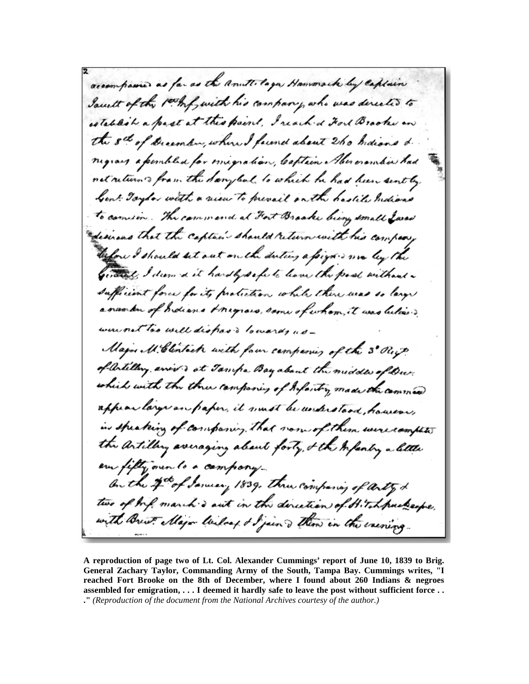accompanies as far as the anutt laga Hammack by captain South of the 1th f with his company, who was directed to establish a past at this paint, I reached Fort Brooks and the set of Disember, where I fecend about 260 Indians & migraig a peniblish for misgration, Captain Alexandre had not return to from the Sangleal to which he had been sent by Gent Toylor with a rien to prevail on the hastile mexical to comment . The commend at Fort Bracke being small Lared desirios that the captain should return with his company before I should let out on the duting a foigh is me leg the getters, I dern a it hardly safe to leave the past without a sufficient force for its protection while there was so large a number of holians Anynois, some of whom, it was believed were not too will dispose bowers, as-Major M. Clentack with four campanies of the 3° Rift. of artilling, anis to at Tamps Bay about the middle of Dur. which with the three componery of Infortry made the common appear large an paper, it must be understood, however, in speaking of companing. That non-of them were complete the artilling averaging about forty, & the Infantry a letter are fifty over to a company On the 2nd of January 1839. Three companing of arty d two of wife march & aut in the direction of Hitchpackaspe, with Brist Major Wilsof & Sjain ? Then in the exercise

**A reproduction of page two of Lt. Col. Alexander Cummings' report of June 10, 1839 to Brig. General Zachary Taylor, Commanding Army of the South, Tampa Bay. Cummings writes, "I reached Fort Brooke on the 8th of December, where I found about 260 Indians & negroes assembled for emigration, . . . I deemed it hardly safe to leave the post without sufficient force . . ."** *(Reproduction of the document from the National Archives courtesy of the author.)*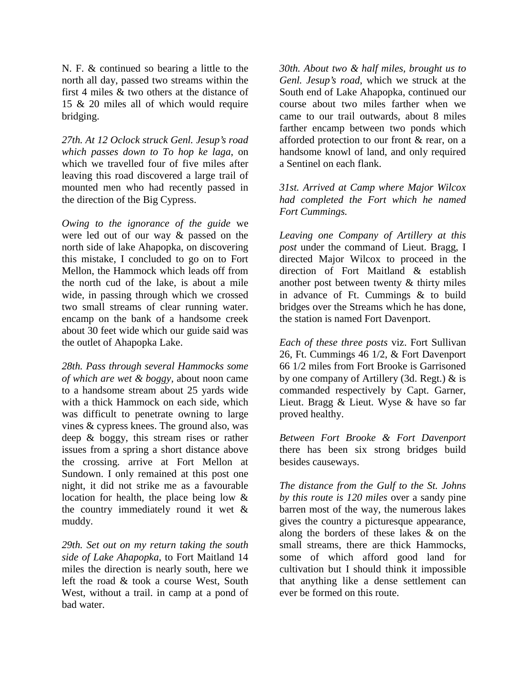N. F. & continued so bearing a little to the north all day, passed two streams within the first 4 miles & two others at the distance of 15 & 20 miles all of which would require bridging.

*27th. At 12 Oclock struck Genl. Jesup's road which passes down to To hop ke laga*, on which we travelled four of five miles after leaving this road discovered a large trail of mounted men who had recently passed in the direction of the Big Cypress.

*Owing to the ignorance of the guide* we were led out of our way & passed on the north side of lake Ahapopka, on discovering this mistake, I concluded to go on to Fort Mellon, the Hammock which leads off from the north cud of the lake, is about a mile wide, in passing through which we crossed two small streams of clear running water. encamp on the bank of a handsome creek about 30 feet wide which our guide said was the outlet of Ahapopka Lake.

*28th. Pass through several Hammocks some of which are wet & boggy*, about noon came to a handsome stream about 25 yards wide with a thick Hammock on each side, which was difficult to penetrate owning to large vines & cypress knees. The ground also, was deep & boggy, this stream rises or rather issues from a spring a short distance above the crossing. arrive at Fort Mellon at Sundown. I only remained at this post one night, it did not strike me as a favourable location for health, the place being low & the country immediately round it wet & muddy.

*29th. Set out on my return taking the south side of Lake Ahapopka*, to Fort Maitland 14 miles the direction is nearly south, here we left the road & took a course West, South West, without a trail. in camp at a pond of bad water.

*30th. About two & half miles, brought us to Genl. Jesup's road*, which we struck at the South end of Lake Ahapopka, continued our course about two miles farther when we came to our trail outwards, about 8 miles farther encamp between two ponds which afforded protection to our front & rear, on a handsome knowl of land, and only required a Sentinel on each flank.

*31st. Arrived at Camp where Major Wilcox had completed the Fort which he named Fort Cummings.* 

*Leaving one Company of Artillery at this post* under the command of Lieut. Bragg, I directed Major Wilcox to proceed in the direction of Fort Maitland & establish another post between twenty & thirty miles in advance of Ft. Cummings & to build bridges over the Streams which he has done, the station is named Fort Davenport.

*Each of these three posts* viz. Fort Sullivan 26, Ft. Cummings 46 1/2, & Fort Davenport 66 1/2 miles from Fort Brooke is Garrisoned by one company of Artillery (3d. Regt.) & is commanded respectively by Capt. Garner, Lieut. Bragg & Lieut. Wyse & have so far proved healthy.

*Between Fort Brooke & Fort Davenport* there has been six strong bridges build besides causeways.

*The distance from the Gulf to the St. Johns by this route is 120 miles* over a sandy pine barren most of the way, the numerous lakes gives the country a picturesque appearance, along the borders of these lakes & on the small streams, there are thick Hammocks, some of which afford good land for cultivation but I should think it impossible that anything like a dense settlement can ever be formed on this route.